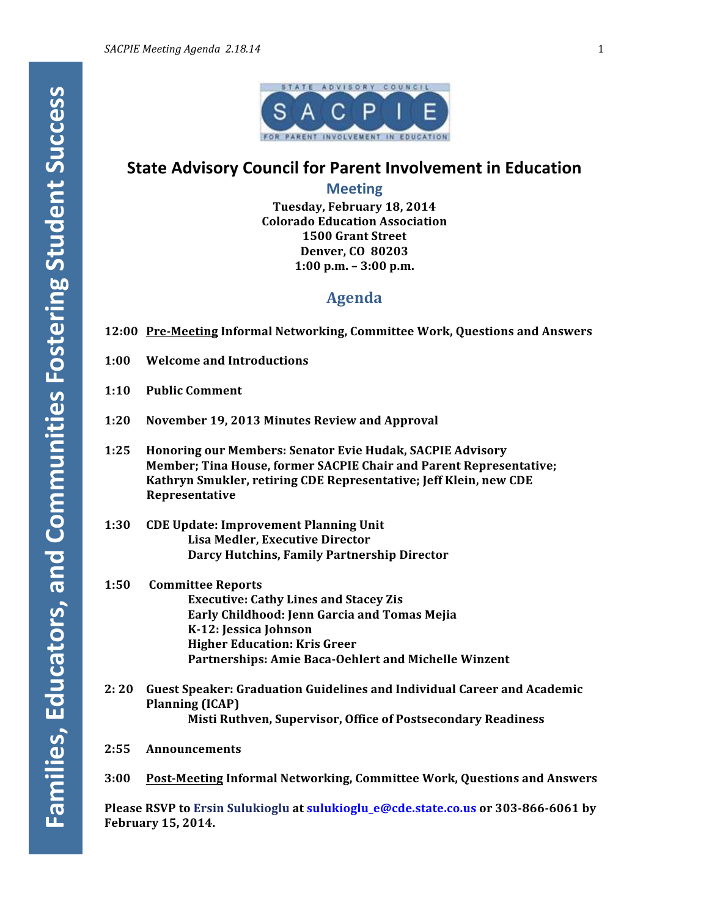

# **State Advisory Council for Parent Involvement in Education**

**Meeting**

**Tuesday, February 18, 2014 Colorado Education Association 1500 Grant Street Denver, CO 80203 1:00 p.m. – 3:00 p.m.**

# **Agenda**

- **12:00 Pre-Meeting Informal Networking, Committee Work, Questions and Answers**
- **1:00 Welcome and Introductions**
- **1:10 Public Comment**
- **1:20 November 19, 2013 Minutes Review and Approval**
- 1:25 Honoring our Members: Senator Evie Hudak, SACPIE Advisory **Member; Tina House, former SACPIE Chair and Parent Representative;** Kathryn Smukler, retiring CDE Representative; Jeff Klein, new CDE **Representative**
- **1:30 CDE Update: Improvement Planning Unit Lisa Medler, Executive Director Darcy Hutchins, Family Partnership Director**
- **1:50 Committee Reports Executive: Cathy Lines and Stacey Zis Early Childhood: Jenn Garcia and Tomas Mejia K-12: Jessica Johnson Higher Education: Kris Greer** Partnerships: Amie Baca-Oehlert and Michelle Winzent
- **2: 20** Guest Speaker: Graduation Guidelines and Individual Career and Academic **Planning** (ICAP) **Misti Ruthven, Supervisor, Office of Postsecondary Readiness**
- **2:55 Announcements**
- **3:00 Post-Meeting Informal Networking, Committee Work, Questions and Answers**

**Please RSVP to Ersin Sulukioglu at sulukioglu\_e@cde.state.co.us or 303-866-6061 by February 15, 2014.**